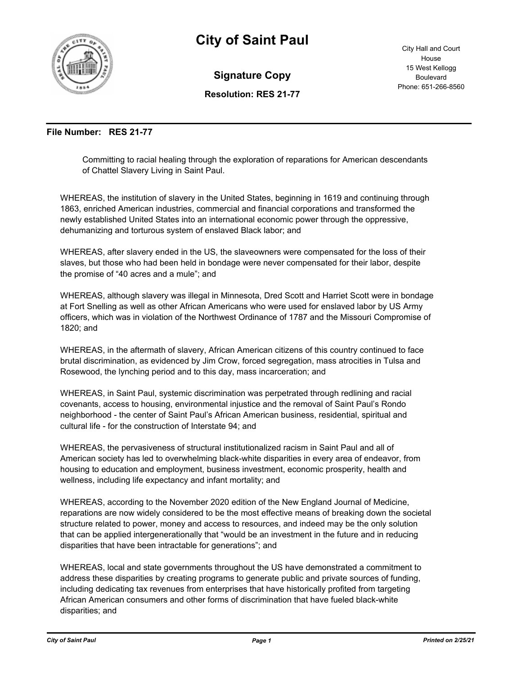

## **City of Saint Paul**

**Signature Copy**

City Hall and Court House 15 West Kellogg Boulevard Phone: 651-266-8560

**Resolution: RES 21-77**

## **File Number: RES 21-77**

Committing to racial healing through the exploration of reparations for American descendants of Chattel Slavery Living in Saint Paul.

WHEREAS, the institution of slavery in the United States, beginning in 1619 and continuing through 1863, enriched American industries, commercial and financial corporations and transformed the newly established United States into an international economic power through the oppressive, dehumanizing and torturous system of enslaved Black labor; and

WHEREAS, after slavery ended in the US, the slaveowners were compensated for the loss of their slaves, but those who had been held in bondage were never compensated for their labor, despite the promise of "40 acres and a mule"; and

WHEREAS, although slavery was illegal in Minnesota, Dred Scott and Harriet Scott were in bondage at Fort Snelling as well as other African Americans who were used for enslaved labor by US Army officers, which was in violation of the Northwest Ordinance of 1787 and the Missouri Compromise of 1820; and

WHEREAS, in the aftermath of slavery, African American citizens of this country continued to face brutal discrimination, as evidenced by Jim Crow, forced segregation, mass atrocities in Tulsa and Rosewood, the lynching period and to this day, mass incarceration; and

WHEREAS, in Saint Paul, systemic discrimination was perpetrated through redlining and racial covenants, access to housing, environmental injustice and the removal of Saint Paul's Rondo neighborhood - the center of Saint Paul's African American business, residential, spiritual and cultural life - for the construction of Interstate 94; and

WHEREAS, the pervasiveness of structural institutionalized racism in Saint Paul and all of American society has led to overwhelming black-white disparities in every area of endeavor, from housing to education and employment, business investment, economic prosperity, health and wellness, including life expectancy and infant mortality; and

WHEREAS, according to the November 2020 edition of the New England Journal of Medicine, reparations are now widely considered to be the most effective means of breaking down the societal structure related to power, money and access to resources, and indeed may be the only solution that can be applied intergenerationally that "would be an investment in the future and in reducing disparities that have been intractable for generations"; and

WHEREAS, local and state governments throughout the US have demonstrated a commitment to address these disparities by creating programs to generate public and private sources of funding, including dedicating tax revenues from enterprises that have historically profited from targeting African American consumers and other forms of discrimination that have fueled black-white disparities; and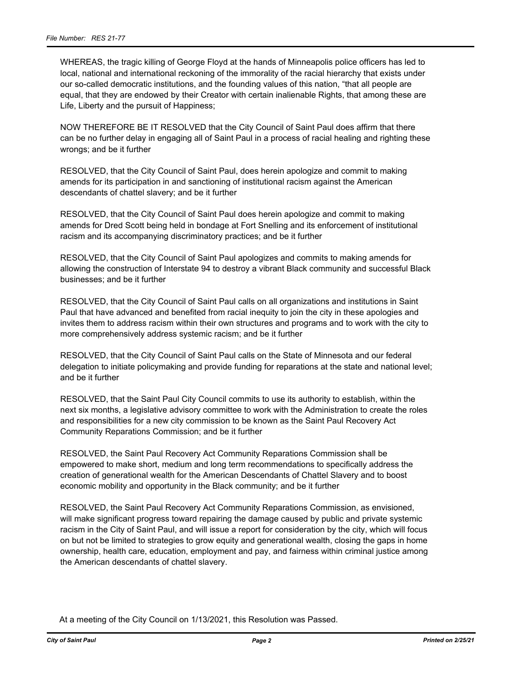WHEREAS, the tragic killing of George Floyd at the hands of Minneapolis police officers has led to local, national and international reckoning of the immorality of the racial hierarchy that exists under our so-called democratic institutions, and the founding values of this nation, "that all people are equal, that they are endowed by their Creator with certain inalienable Rights, that among these are Life, Liberty and the pursuit of Happiness;

NOW THEREFORE BE IT RESOLVED that the City Council of Saint Paul does affirm that there can be no further delay in engaging all of Saint Paul in a process of racial healing and righting these wrongs; and be it further

RESOLVED, that the City Council of Saint Paul, does herein apologize and commit to making amends for its participation in and sanctioning of institutional racism against the American descendants of chattel slavery; and be it further

RESOLVED, that the City Council of Saint Paul does herein apologize and commit to making amends for Dred Scott being held in bondage at Fort Snelling and its enforcement of institutional racism and its accompanying discriminatory practices; and be it further

RESOLVED, that the City Council of Saint Paul apologizes and commits to making amends for allowing the construction of Interstate 94 to destroy a vibrant Black community and successful Black businesses; and be it further

RESOLVED, that the City Council of Saint Paul calls on all organizations and institutions in Saint Paul that have advanced and benefited from racial inequity to join the city in these apologies and invites them to address racism within their own structures and programs and to work with the city to more comprehensively address systemic racism; and be it further

RESOLVED, that the City Council of Saint Paul calls on the State of Minnesota and our federal delegation to initiate policymaking and provide funding for reparations at the state and national level; and be it further

RESOLVED, that the Saint Paul City Council commits to use its authority to establish, within the next six months, a legislative advisory committee to work with the Administration to create the roles and responsibilities for a new city commission to be known as the Saint Paul Recovery Act Community Reparations Commission; and be it further

RESOLVED, the Saint Paul Recovery Act Community Reparations Commission shall be empowered to make short, medium and long term recommendations to specifically address the creation of generational wealth for the American Descendants of Chattel Slavery and to boost economic mobility and opportunity in the Black community; and be it further

RESOLVED, the Saint Paul Recovery Act Community Reparations Commission, as envisioned, will make significant progress toward repairing the damage caused by public and private systemic racism in the City of Saint Paul, and will issue a report for consideration by the city, which will focus on but not be limited to strategies to grow equity and generational wealth, closing the gaps in home ownership, health care, education, employment and pay, and fairness within criminal justice among the American descendants of chattel slavery.

At a meeting of the City Council on 1/13/2021, this Resolution was Passed.